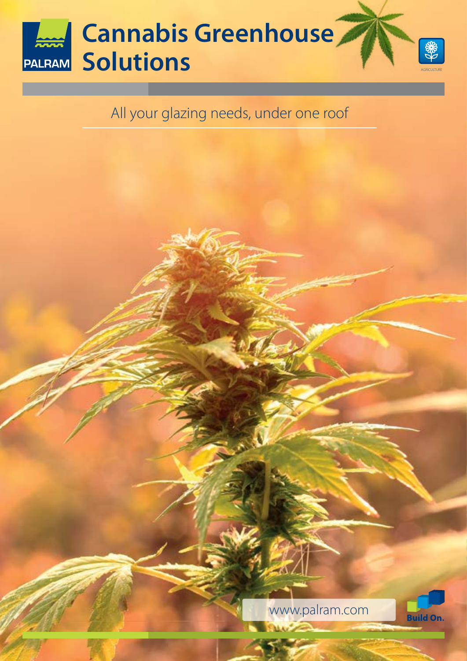

### All your glazing needs, under one roof

www.palram.com

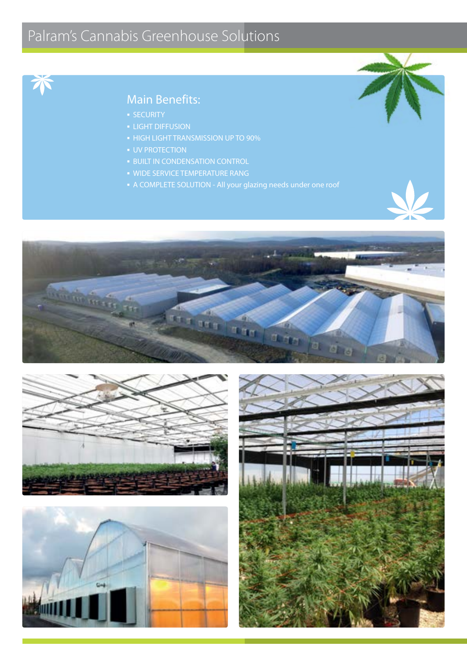## Palram's Cannabis Greenhouse Solutions



#### Main Benefits:

- 
- 
- 
- 
- **BUILT IN CONDENSATION CONTROL**
- **WIDE SERVICE TEMPERATURE RANG**
- 







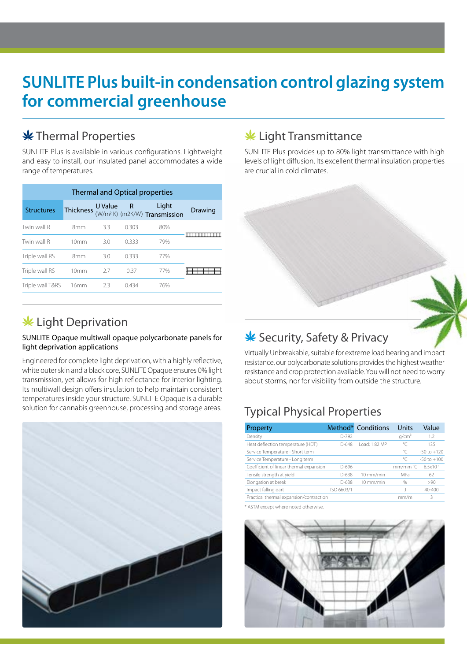## **SUNLITE Plus built-in condensation control glazing system for commercial greenhouse**

#### **\*** Thermal Properties

SUNLITE Plus is available in various configurations. Lightweight and easy to install, our insulated panel accommodates a wide range of temperatures.

| Thermal and Optical properties |                  |     |       |                                                              |                |  |  |  |
|--------------------------------|------------------|-----|-------|--------------------------------------------------------------|----------------|--|--|--|
| <b>Structures</b>              |                  |     |       | Thickness UValue R Light<br>$(W/m^2 K)$ (m2K/W) Transmission | <b>Drawing</b> |  |  |  |
| Twin wall R                    | 8mm              | 3.3 | 0.303 | 80%                                                          |                |  |  |  |
| Twin wall R                    | 10mm             | 3.0 | 0.333 | 79%                                                          |                |  |  |  |
| Triple wall RS                 | 8mm              | 3.0 | 0.333 | 77%                                                          |                |  |  |  |
| Triple wall RS                 | 10mm             | 2.7 | 0.37  | 77%                                                          |                |  |  |  |
| Triple wall T&RS               | 16 <sub>mm</sub> | 2.3 | 0434  | 76%                                                          |                |  |  |  |

#### $*$  Light Deprivation

#### SUNLITE Opaque multiwall opaque polycarbonate panels for light deprivation applications

Engineered for complete light deprivation, with a highly reflective, white outer skin and a black core, SUNLITE Opaque ensures 0% light transmission, yet allows for high reflectance for interior lighting. Its multiwall design offers insulation to help maintain consistent temperatures inside your structure. SUNLITE Opaque is a durable solution for cannabis greenhouse, processing and storage areas.



#### **\*** Light Transmittance

SUNLITE Plus provides up to 80% light transmittance with high levels of light diffusion. Its excellent thermal insulation properties are crucial in cold climates.

#### **Security, Safety & Privacy**

Virtually Unbreakable, suitable for extreme load bearing and impact resistance, our polycarbonate solutions provides the highest weather resistance and crop protection available. You will not need to worry about storms, nor for visibility from outside the structure.

#### Typical Physical Properties

| Property                                |            | Method* Conditions | Units             | Value           |
|-----------------------------------------|------------|--------------------|-------------------|-----------------|
| Density                                 | $D-792$    |                    | q/cm <sup>3</sup> | 1.2             |
| Heat deflection temperature (HDT)       | $D-648$    | Load: 1.82 MP      | °C                | 135             |
| Service Temperature - Short term        |            |                    | ℃                 | $-50$ to $+120$ |
| Service Temperature - Long term         |            |                    | $\mathrm{C}$      | $-50$ to $+100$ |
| Coefficient of linear thermal expansion | D-696      |                    | mm/mm °C          | $6.5x10^{-5}$   |
| Tensile strength at yield               | $D - 638$  | 10 mm/min          | MPa               | 62              |
| Elongation at break                     | $D - 638$  | 10 mm/min          | $\frac{0}{0}$     | >90             |
| Impact falling dart                     | ISO 6603/1 |                    |                   | $40 - 400$      |
| Practical thermal expansion/contraction |            |                    | mm/m              | 3               |

\* ASTM except where noted otherwise.